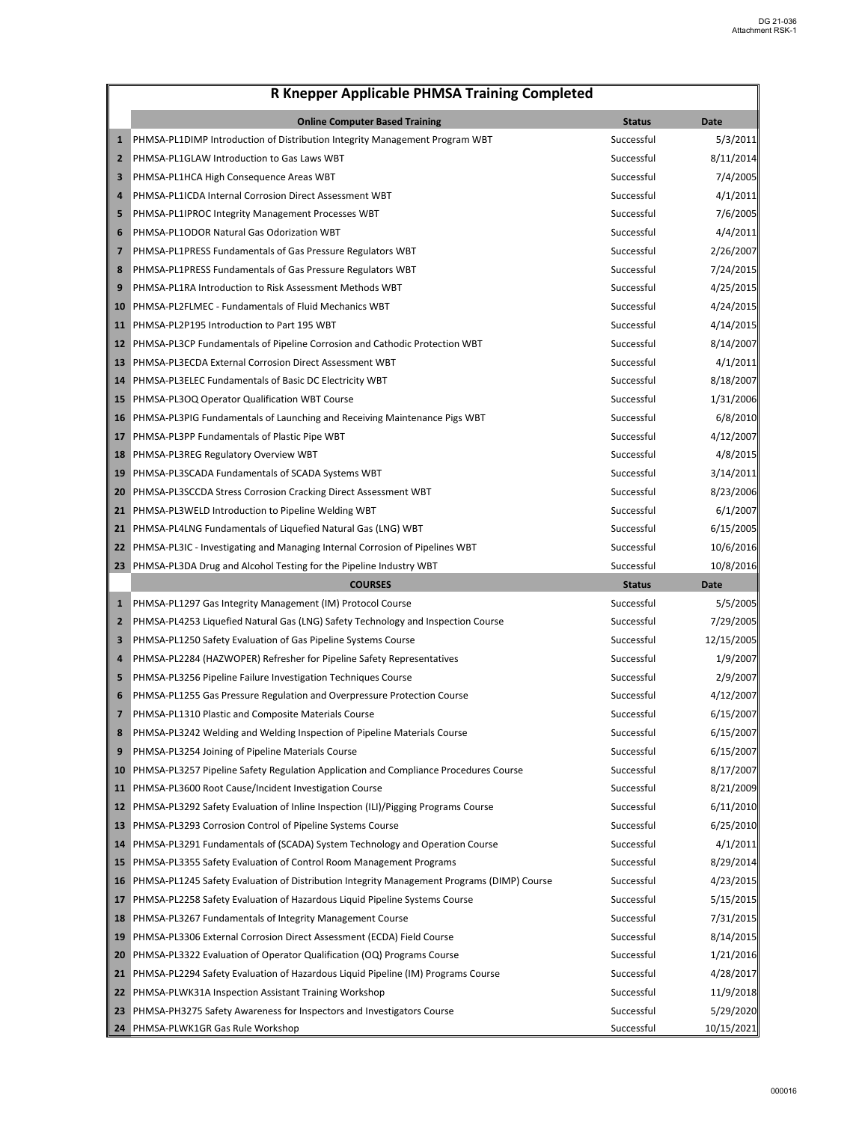|                | <b>Online Computer Based Training</b>                                                      | <b>Status</b> | <b>Date</b>            |
|----------------|--------------------------------------------------------------------------------------------|---------------|------------------------|
| $\mathbf{1}$   | PHMSA-PL1DIMP Introduction of Distribution Integrity Management Program WBT                | Successful    | 5/3/2011               |
| $\mathbf{2}$   | PHMSA-PL1GLAW Introduction to Gas Laws WBT                                                 | Successful    | 8/11/2014              |
| 3              | PHMSA-PL1HCA High Consequence Areas WBT                                                    | Successful    | 7/4/2005               |
| 4              | PHMSA-PL1ICDA Internal Corrosion Direct Assessment WBT                                     | Successful    | 4/1/2011               |
| 5              | PHMSA-PL1IPROC Integrity Management Processes WBT                                          | Successful    | 7/6/2005               |
| 6              | PHMSA-PL1ODOR Natural Gas Odorization WBT                                                  | Successful    | 4/4/2011               |
| 7              | PHMSA-PL1PRESS Fundamentals of Gas Pressure Regulators WBT                                 | Successful    | 2/26/2007              |
| 8              | PHMSA-PL1PRESS Fundamentals of Gas Pressure Regulators WBT                                 | Successful    | 7/24/2015              |
| 9              | PHMSA-PL1RA Introduction to Risk Assessment Methods WBT                                    | Successful    | 4/25/2015              |
| 10             | PHMSA-PL2FLMEC - Fundamentals of Fluid Mechanics WBT                                       | Successful    | 4/24/2015              |
| 11             | PHMSA-PL2P195 Introduction to Part 195 WBT                                                 | Successful    | 4/14/2015              |
| 12             | PHMSA-PL3CP Fundamentals of Pipeline Corrosion and Cathodic Protection WBT                 | Successful    | 8/14/2007              |
| 13             | PHMSA-PL3ECDA External Corrosion Direct Assessment WBT                                     | Successful    | 4/1/2011               |
| 14             | PHMSA-PL3ELEC Fundamentals of Basic DC Electricity WBT                                     | Successful    | 8/18/2007              |
| 15             | PHMSA-PL3OQ Operator Qualification WBT Course                                              | Successful    | 1/31/2006              |
| 16             | PHMSA-PL3PIG Fundamentals of Launching and Receiving Maintenance Pigs WBT                  | Successful    | 6/8/2010               |
| 17             | PHMSA-PL3PP Fundamentals of Plastic Pipe WBT                                               | Successful    | 4/12/2007              |
| 18             | PHMSA-PL3REG Regulatory Overview WBT                                                       | Successful    | 4/8/2015               |
| 19             | PHMSA-PL3SCADA Fundamentals of SCADA Systems WBT                                           | Successful    | 3/14/2011              |
| 20             | PHMSA-PL3SCCDA Stress Corrosion Cracking Direct Assessment WBT                             | Successful    | 8/23/2006              |
| 21             | PHMSA-PL3WELD Introduction to Pipeline Welding WBT                                         | Successful    | 6/1/2007               |
| 21             | PHMSA-PL4LNG Fundamentals of Liquefied Natural Gas (LNG) WBT                               | Successful    | 6/15/2005              |
|                | 22 PHMSA-PL3IC - Investigating and Managing Internal Corrosion of Pipelines WBT            | Successful    | 10/6/2016              |
|                | 23 PHMSA-PL3DA Drug and Alcohol Testing for the Pipeline Industry WBT                      | Successful    | 10/8/2016              |
|                | <b>COURSES</b>                                                                             | <b>Status</b> | <b>Date</b>            |
|                |                                                                                            |               |                        |
| $\mathbf{1}$   | PHMSA-PL1297 Gas Integrity Management (IM) Protocol Course                                 | Successful    | 5/5/2005               |
| $\mathbf{2}$   | PHMSA-PL4253 Liquefied Natural Gas (LNG) Safety Technology and Inspection Course           | Successful    | 7/29/2005              |
| 3              | PHMSA-PL1250 Safety Evaluation of Gas Pipeline Systems Course                              | Successful    | 12/15/2005             |
| 4              | PHMSA-PL2284 (HAZWOPER) Refresher for Pipeline Safety Representatives                      | Successful    | 1/9/2007               |
| 5              | PHMSA-PL3256 Pipeline Failure Investigation Techniques Course                              | Successful    | 2/9/2007               |
| 6              | PHMSA-PL1255 Gas Pressure Regulation and Overpressure Protection Course                    | Successful    | 4/12/2007              |
| $\overline{ }$ | PHMSA-PL1310 Plastic and Composite Materials Course                                        | Successful    | 6/15/2007              |
| 8              | PHMSA-PL3242 Welding and Welding Inspection of Pipeline Materials Course                   | Successful    | 6/15/2007              |
| 9              | PHMSA-PL3254 Joining of Pipeline Materials Course                                          | Successful    |                        |
| <b>10</b>      | PHMSA-PL3257 Pipeline Safety Regulation Application and Compliance Procedures Course       | Successful    | 6/15/2007<br>8/17/2007 |
| 11             | PHMSA-PL3600 Root Cause/Incident Investigation Course                                      | Successful    | 8/21/2009              |
| 12             | PHMSA-PL3292 Safety Evaluation of Inline Inspection (ILI)/Pigging Programs Course          | Successful    | 6/11/2010              |
|                | 13 PHMSA-PL3293 Corrosion Control of Pipeline Systems Course                               | Successful    | 6/25/2010              |
| 14             | PHMSA-PL3291 Fundamentals of (SCADA) System Technology and Operation Course                | Successful    | 4/1/2011               |
| 15             | PHMSA-PL3355 Safety Evaluation of Control Room Management Programs                         | Successful    | 8/29/2014              |
| <b>16</b>      | PHMSA-PL1245 Safety Evaluation of Distribution Integrity Management Programs (DIMP) Course | Successful    | 4/23/2015              |
| 17             | PHMSA-PL2258 Safety Evaluation of Hazardous Liquid Pipeline Systems Course                 | Successful    | 5/15/2015              |
| 18             | PHMSA-PL3267 Fundamentals of Integrity Management Course                                   | Successful    | 7/31/2015              |
|                | 19 PHMSA-PL3306 External Corrosion Direct Assessment (ECDA) Field Course                   | Successful    | 8/14/2015              |
| 20             | PHMSA-PL3322 Evaluation of Operator Qualification (OQ) Programs Course                     | Successful    | 1/21/2016              |
|                | 21 PHMSA-PL2294 Safety Evaluation of Hazardous Liquid Pipeline (IM) Programs Course        | Successful    | 4/28/2017              |
|                | 22 PHMSA-PLWK31A Inspection Assistant Training Workshop                                    | Successful    | 11/9/2018              |
| 23             | PHMSA-PH3275 Safety Awareness for Inspectors and Investigators Course                      | Successful    | 5/29/2020              |

 $\overline{\phantom{a}}$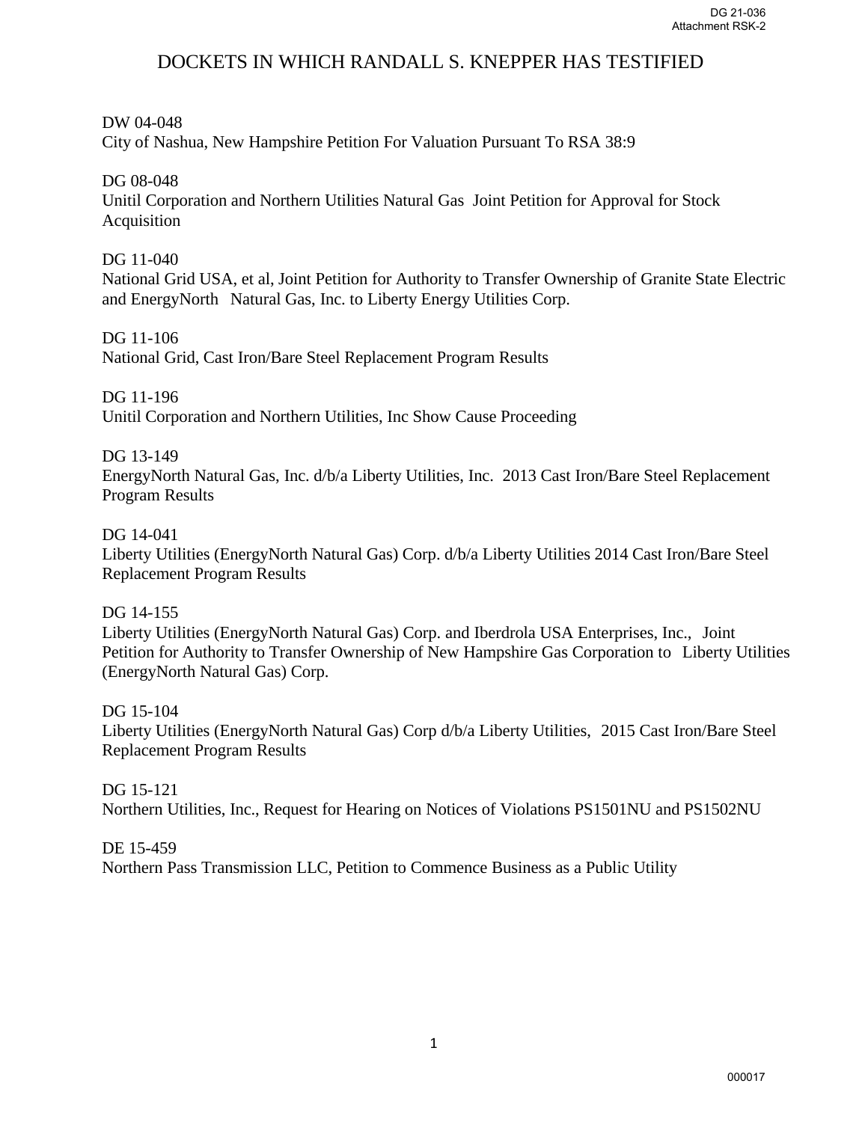#### DW 04-048

City of Nashua, New Hampshire Petition For Valuation Pursuant To RSA 38:9

## DG 08-048

Unitil Corporation and Northern Utilities Natural Gas Joint Petition for Approval for Stock Acquisition

## DG 11-040

National Grid USA, et al, Joint Petition for Authority to Transfer Ownership of Granite State Electric and EnergyNorth Natural Gas, Inc. to Liberty Energy Utilities Corp.

## DG 11-106

National Grid, Cast Iron/Bare Steel Replacement Program Results

## DG 11-196

Unitil Corporation and Northern Utilities, Inc Show Cause Proceeding

## DG 13-149

EnergyNorth Natural Gas, Inc. d/b/a Liberty Utilities, Inc. 2013 Cast Iron/Bare Steel Replacement Program Results

#### DG 14-041

Liberty Utilities (EnergyNorth Natural Gas) Corp. d/b/a Liberty Utilities 2014 Cast Iron/Bare Steel Replacement Program Results

## DG 14-155

Liberty Utilities (EnergyNorth Natural Gas) Corp. and Iberdrola USA Enterprises, Inc., Joint Petition for Authority to Transfer Ownership of New Hampshire Gas Corporation to Liberty Utilities (EnergyNorth Natural Gas) Corp.

#### DG 15-104

Liberty Utilities (EnergyNorth Natural Gas) Corp d/b/a Liberty Utilities, 2015 Cast Iron/Bare Steel Replacement Program Results

DG 15-121 Northern Utilities, Inc., Request for Hearing on Notices of Violations PS1501NU and PS1502NU

DE 15-459 Northern Pass Transmission LLC, Petition to Commence Business as a Public Utility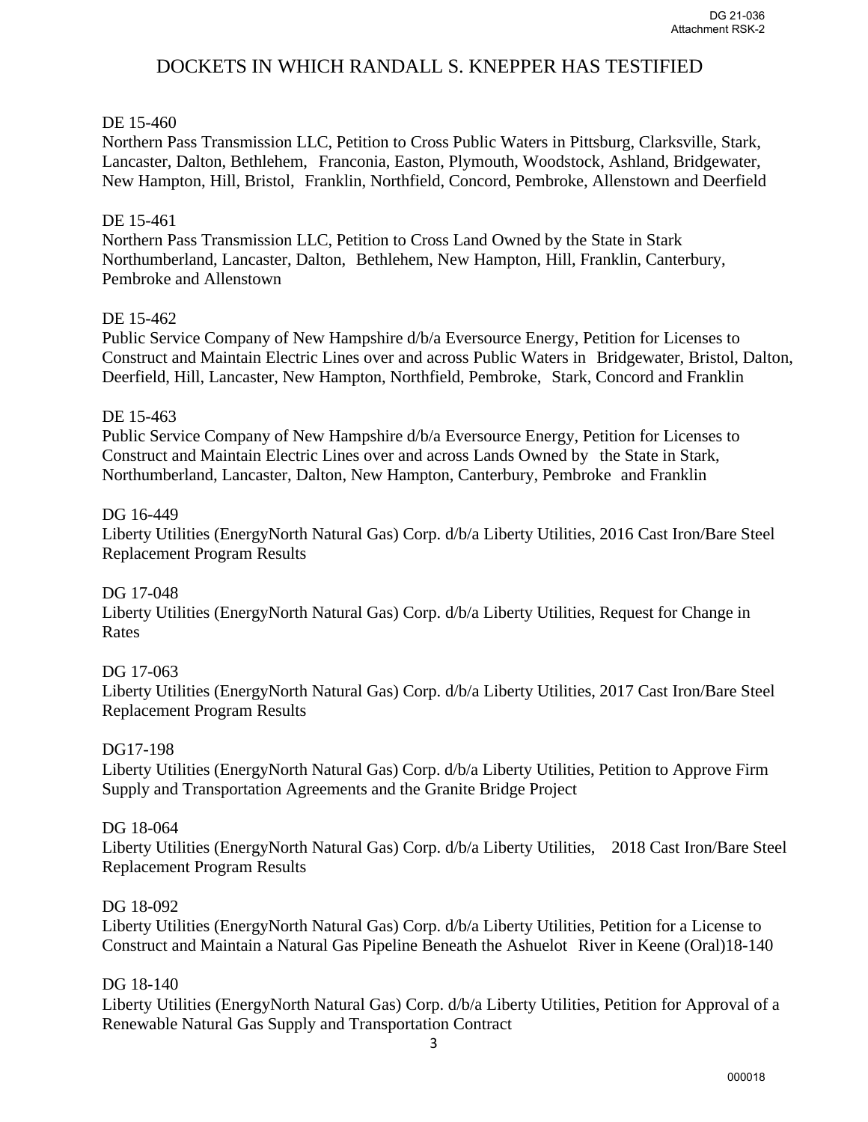## DE 15-460

Northern Pass Transmission LLC, Petition to Cross Public Waters in Pittsburg, Clarksville, Stark, Lancaster, Dalton, Bethlehem, Franconia, Easton, Plymouth, Woodstock, Ashland, Bridgewater, New Hampton, Hill, Bristol, Franklin, Northfield, Concord, Pembroke, Allenstown and Deerfield

#### DE 15-461

Northern Pass Transmission LLC, Petition to Cross Land Owned by the State in Stark Northumberland, Lancaster, Dalton, Bethlehem, New Hampton, Hill, Franklin, Canterbury, Pembroke and Allenstown

## DE 15-462

Public Service Company of New Hampshire d/b/a Eversource Energy, Petition for Licenses to Construct and Maintain Electric Lines over and across Public Waters in Bridgewater, Bristol, Dalton, Deerfield, Hill, Lancaster, New Hampton, Northfield, Pembroke, Stark, Concord and Franklin

#### DE 15-463

Public Service Company of New Hampshire d/b/a Eversource Energy, Petition for Licenses to Construct and Maintain Electric Lines over and across Lands Owned by the State in Stark, Northumberland, Lancaster, Dalton, New Hampton, Canterbury, Pembroke and Franklin

#### DG 16-449

Liberty Utilities (EnergyNorth Natural Gas) Corp. d/b/a Liberty Utilities, 2016 Cast Iron/Bare Steel Replacement Program Results

DG 17-048

Liberty Utilities (EnergyNorth Natural Gas) Corp. d/b/a Liberty Utilities, Request for Change in Rates

DG 17-063

Liberty Utilities (EnergyNorth Natural Gas) Corp. d/b/a Liberty Utilities, 2017 Cast Iron/Bare Steel Replacement Program Results

#### DG17-198

Liberty Utilities (EnergyNorth Natural Gas) Corp. d/b/a Liberty Utilities, Petition to Approve Firm Supply and Transportation Agreements and the Granite Bridge Project

#### DG 18-064

Liberty Utilities (EnergyNorth Natural Gas) Corp. d/b/a Liberty Utilities, 2018 Cast Iron/Bare Steel Replacement Program Results

#### DG 18-092

Liberty Utilities (EnergyNorth Natural Gas) Corp. d/b/a Liberty Utilities, Petition for a License to Construct and Maintain a Natural Gas Pipeline Beneath the Ashuelot River in Keene (Oral)18-140

#### DG 18-140

Liberty Utilities (EnergyNorth Natural Gas) Corp. d/b/a Liberty Utilities, Petition for Approval of a Renewable Natural Gas Supply and Transportation Contract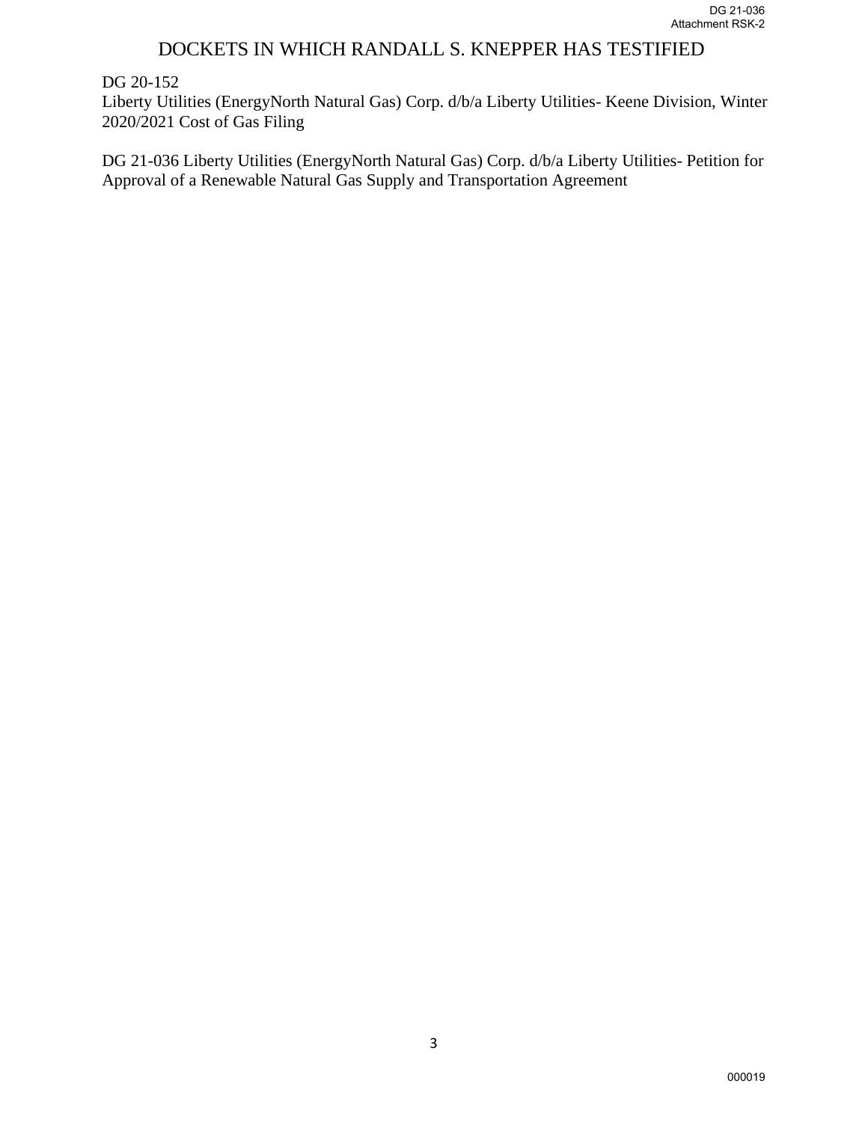#### DG 20-152

Liberty Utilities (EnergyNorth Natural Gas) Corp. d/b/a Liberty Utilities- Keene Division, Winter 2020/2021 Cost of Gas Filing

DG 21-036 Liberty Utilities (EnergyNorth Natural Gas) Corp. d/b/a Liberty Utilities- Petition for Approval of a Renewable Natural Gas Supply and Transportation Agreement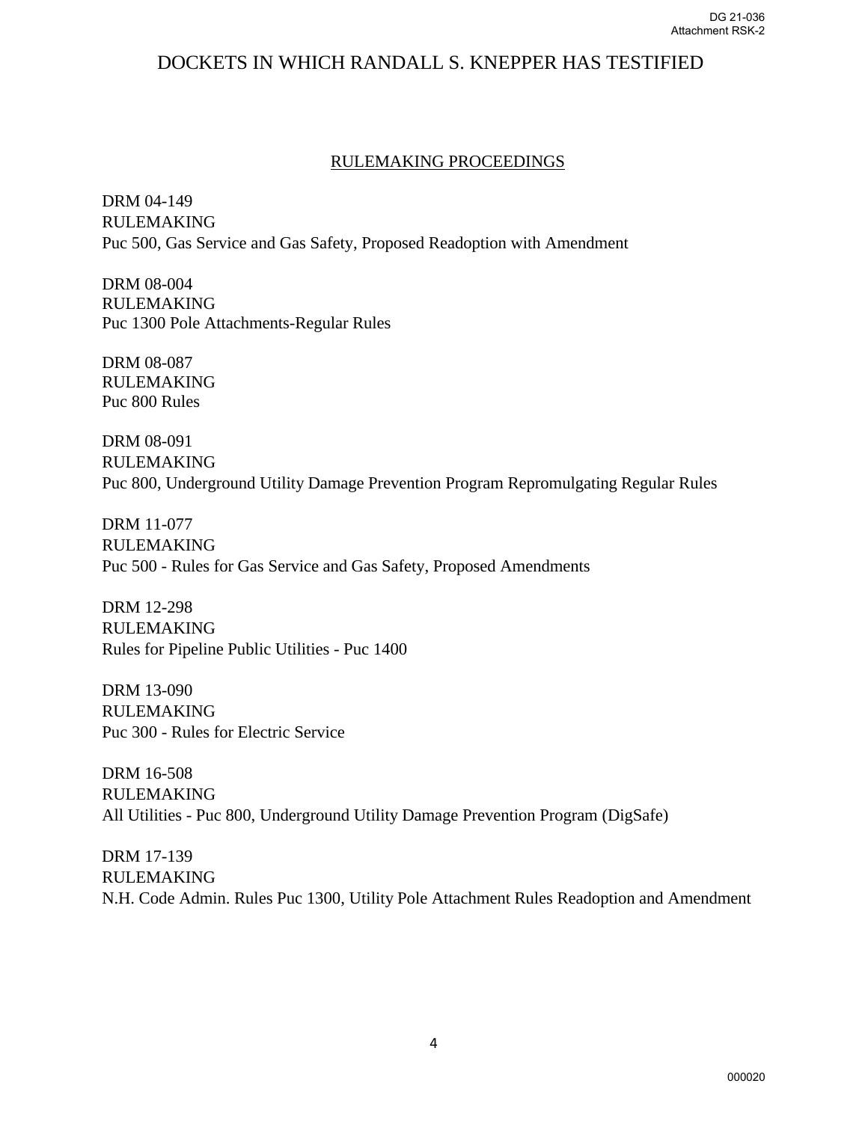#### RULEMAKING PROCEEDINGS

DRM 04-149 RULEMAKING Puc 500, Gas Service and Gas Safety, Proposed Readoption with Amendment

DRM 08-004 RULEMAKING Puc 1300 Pole Attachments-Regular Rules

DRM 08-087 RULEMAKING Puc 800 Rules

DRM 08-091 RULEMAKING Puc 800, Underground Utility Damage Prevention Program Repromulgating Regular Rules

DRM 11-077 RULEMAKING Puc 500 - Rules for Gas Service and Gas Safety, Proposed Amendments

DRM 12-298 RULEMAKING Rules for Pipeline Public Utilities - Puc 1400

DRM 13-090 RULEMAKING Puc 300 - Rules for Electric Service

DRM 16-508 RULEMAKING All Utilities - Puc 800, Underground Utility Damage Prevention Program (DigSafe)

DRM 17-139 RULEMAKING N.H. Code Admin. Rules Puc 1300, Utility Pole Attachment Rules Readoption and Amendment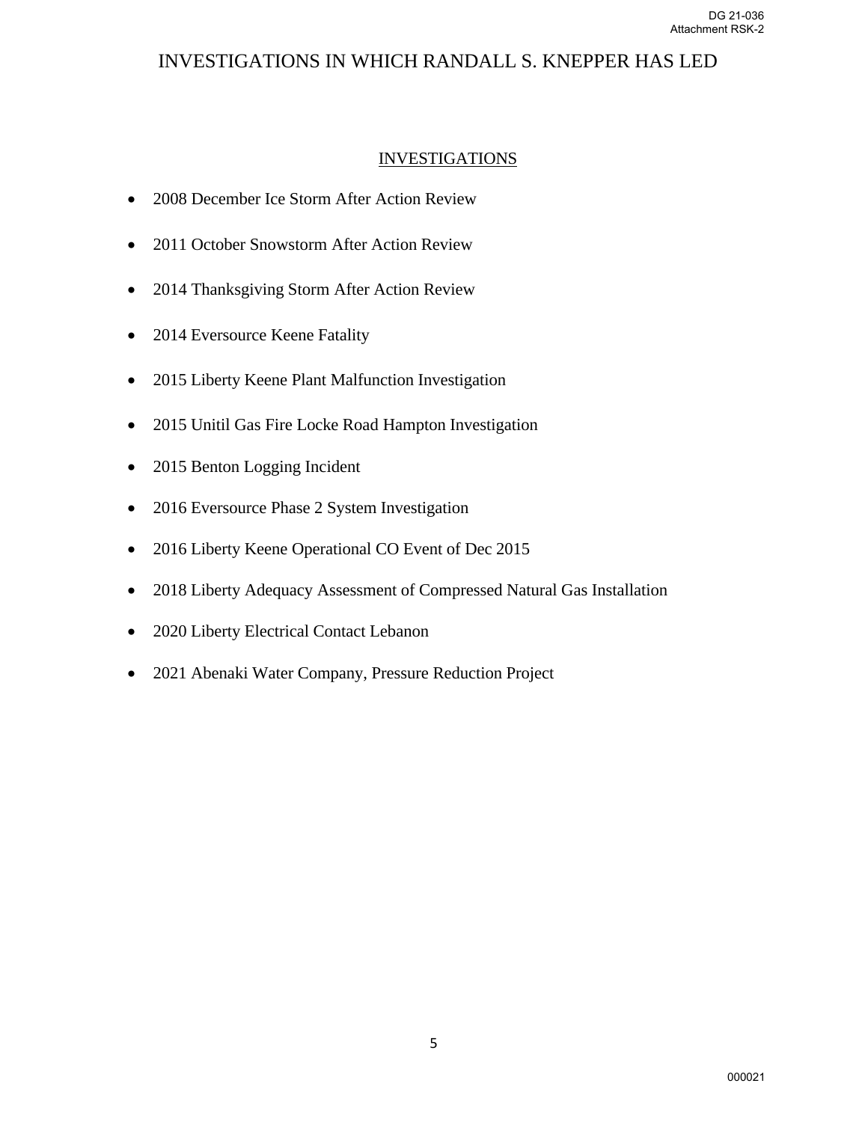# INVESTIGATIONS IN WHICH RANDALL S. KNEPPER HAS LED

## INVESTIGATIONS

- 2008 December Ice Storm After Action Review
- 2011 October Snowstorm After Action Review
- 2014 Thanksgiving Storm After Action Review
- 2014 Eversource Keene Fatality
- 2015 Liberty Keene Plant Malfunction Investigation
- 2015 Unitil Gas Fire Locke Road Hampton Investigation
- 2015 Benton Logging Incident
- 2016 Eversource Phase 2 System Investigation
- 2016 Liberty Keene Operational CO Event of Dec 2015
- 2018 Liberty Adequacy Assessment of Compressed Natural Gas Installation
- 2020 Liberty Electrical Contact Lebanon
- 2021 Abenaki Water Company, Pressure Reduction Project